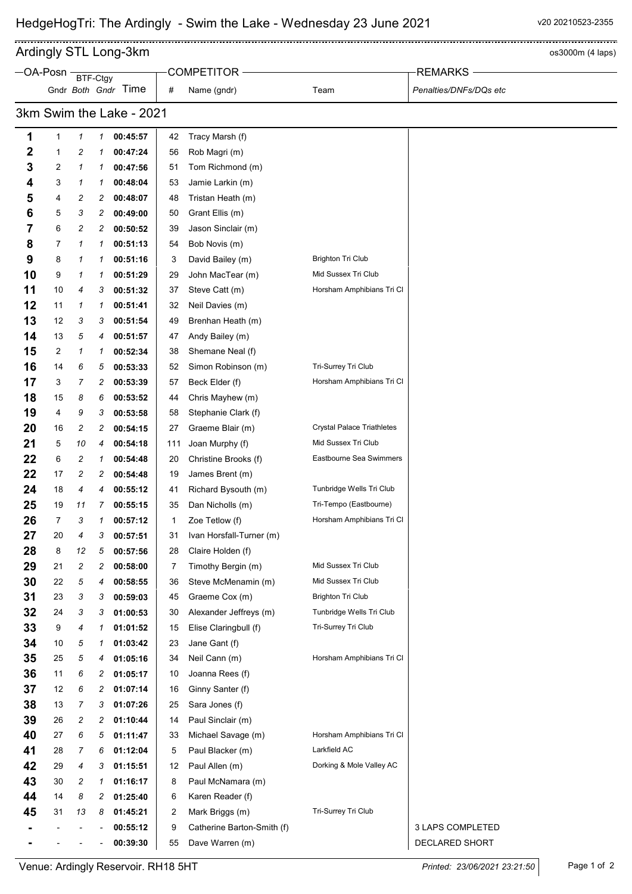$\overline{a}$ Ardingly STL Long-3km and the state of the state of the state of the state of the state of the state of the state of the state of the state of the state of the state of the state of the state of the state of the state of t

|                          | $-OA-Posn$ |          |   |                     |     | <b>COMPETITOR</b>          |                                   | <b>REMARKS</b>         |  |  |
|--------------------------|------------|----------|---|---------------------|-----|----------------------------|-----------------------------------|------------------------|--|--|
|                          |            | BTF-Ctgy |   | Gndr Both Gndr Time | #   | Name (gndr)                | Team                              | Penalties/DNFs/DQs etc |  |  |
|                          |            |          |   |                     |     |                            |                                   |                        |  |  |
| 3km Swim the Lake - 2021 |            |          |   |                     |     |                            |                                   |                        |  |  |
| 1                        | 1          | 1        | 1 | 00:45:57            | 42  | Tracy Marsh (f)            |                                   |                        |  |  |
| 2                        | 1          | 2        | 1 | 00:47:24            | 56  | Rob Magri (m)              |                                   |                        |  |  |
| 3                        | 2          | 1        | 1 | 00:47:56            | 51  | Tom Richmond (m)           |                                   |                        |  |  |
| 4                        | 3          | 1        | 1 | 00:48:04            | 53  | Jamie Larkin (m)           |                                   |                        |  |  |
| 5                        | 4          | 2        | 2 | 00:48:07            | 48  | Tristan Heath (m)          |                                   |                        |  |  |
| 6                        | 5          | 3        | 2 | 00:49:00            | 50  | Grant Ellis (m)            |                                   |                        |  |  |
| 7                        | 6          | 2        | 2 | 00:50:52            | 39  | Jason Sinclair (m)         |                                   |                        |  |  |
| 8                        | 7          | 1        | 1 | 00:51:13            | 54  | Bob Novis (m)              |                                   |                        |  |  |
| 9                        | 8          | 1        | 1 | 00:51:16            | 3   | David Bailey (m)           | <b>Brighton Tri Club</b>          |                        |  |  |
| 10                       | 9          | 1        | 1 | 00:51:29            | 29  | John MacTear (m)           | Mid Sussex Tri Club               |                        |  |  |
| 11                       | 10         | 4        | 3 | 00:51:32            | 37  | Steve Catt (m)             | Horsham Amphibians Tri Cl         |                        |  |  |
| 12                       | 11         | 1        | 1 | 00:51:41            | 32  | Neil Davies (m)            |                                   |                        |  |  |
| 13                       | 12         | 3        | 3 | 00:51:54            | 49  | Brenhan Heath (m)          |                                   |                        |  |  |
| 14                       | 13         | 5        | 4 | 00:51:57            | 47  | Andy Bailey (m)            |                                   |                        |  |  |
| 15                       | 2          | 1        | 1 | 00:52:34            | 38  | Shemane Neal (f)           |                                   |                        |  |  |
| 16                       | 14         | 6        | 5 | 00:53:33            | 52  | Simon Robinson (m)         | Tri-Surrey Tri Club               |                        |  |  |
| 17                       | 3          | 7        | 2 | 00:53:39            | 57  | Beck Elder (f)             | Horsham Amphibians Tri Cl         |                        |  |  |
| 18                       | 15         | 8        | 6 | 00:53:52            | 44  | Chris Mayhew (m)           |                                   |                        |  |  |
| 19                       | 4          | 9        | 3 | 00:53:58            | 58  | Stephanie Clark (f)        |                                   |                        |  |  |
| 20                       | 16         | 2        | 2 | 00:54:15            | 27  | Graeme Blair (m)           | <b>Crystal Palace Triathletes</b> |                        |  |  |
| 21                       | 5          | 10       | 4 | 00:54:18            | 111 | Joan Murphy (f)            | Mid Sussex Tri Club               |                        |  |  |
| 22                       | 6          | 2        | 1 | 00:54:48            | 20  | Christine Brooks (f)       | Eastbourne Sea Swimmers           |                        |  |  |
| 22                       | 17         | 2        | 2 | 00:54:48            | 19  | James Brent (m)            |                                   |                        |  |  |
| 24                       | 18         | 4        | 4 | 00:55:12            | 41  | Richard Bysouth (m)        | Tunbridge Wells Tri Club          |                        |  |  |
| 25                       | 19         | 11       | 7 | 00:55:15            | 35  | Dan Nicholls (m)           | Tri-Tempo (Eastbourne)            |                        |  |  |
| 26                       | 7          | 3        | 1 | 00:57:12            | 1   | Zoe Tetlow (f)             | Horsham Amphibians Tri Cl         |                        |  |  |
| 27                       | 20         | 4        | 3 | 00:57:51            | 31  | Ivan Horsfall-Turner (m)   |                                   |                        |  |  |
| 28                       | 8          | 12       | 5 | 00:57:56            | 28  | Claire Holden (f)          |                                   |                        |  |  |
| 29                       | 21         | 2        | 2 | 00:58:00            | 7   | Timothy Bergin (m)         | Mid Sussex Tri Club               |                        |  |  |
| 30                       | 22         | 5        | 4 | 00:58:55            | 36  | Steve McMenamin (m)        | Mid Sussex Tri Club               |                        |  |  |
| 31                       | 23         | 3        | 3 | 00:59:03            | 45  | Graeme Cox (m)             | <b>Brighton Tri Club</b>          |                        |  |  |
| 32                       | 24         | 3        | 3 | 01:00:53            | 30  | Alexander Jeffreys (m)     | Tunbridge Wells Tri Club          |                        |  |  |
| 33                       | 9          | 4        | 1 | 01:01:52            | 15  | Elise Claringbull (f)      | Tri-Surrey Tri Club               |                        |  |  |
| 34                       | 10         | 5        | 1 | 01:03:42            | 23  | Jane Gant (f)              |                                   |                        |  |  |
| 35                       | 25         | 5        | 4 | 01:05:16            | 34  | Neil Cann (m)              | Horsham Amphibians Tri Cl         |                        |  |  |
| 36                       | 11         | 6        | 2 | 01:05:17            | 10  | Joanna Rees (f)            |                                   |                        |  |  |
| 37                       | 12         | 6        | 2 | 01:07:14            | 16  | Ginny Santer (f)           |                                   |                        |  |  |
| 38                       | 13         | 7        | 3 | 01:07:26            | 25  | Sara Jones (f)             |                                   |                        |  |  |
| 39                       | 26         | 2        | 2 | 01:10:44            | 14  | Paul Sinclair (m)          |                                   |                        |  |  |
| 40                       | 27         | 6        | 5 | 01:11:47            | 33  | Michael Savage (m)         | Horsham Amphibians Tri Cl         |                        |  |  |
| 41                       | 28         | 7        | 6 | 01:12:04            | 5   | Paul Blacker (m)           | Larkfield AC                      |                        |  |  |
| 42                       | 29         | 4        | 3 | 01:15:51            | 12  | Paul Allen (m)             | Dorking & Mole Valley AC          |                        |  |  |
| 43                       | 30         | 2        | 1 | 01:16:17            | 8   | Paul McNamara (m)          |                                   |                        |  |  |
| 44                       | 14         | 8        | 2 | 01:25:40            | 6   | Karen Reader (f)           | Tri-Surrey Tri Club               |                        |  |  |
| 45                       | 31         | 13       | 8 | 01:45:21            | 2   | Mark Briggs (m)            |                                   | 3 LAPS COMPLETED       |  |  |
|                          |            |          |   | 00:55:12            | 9   | Catherine Barton-Smith (f) |                                   |                        |  |  |
|                          |            |          |   | 00:39:30            | 55  | Dave Warren (m)            |                                   | DECLARED SHORT         |  |  |